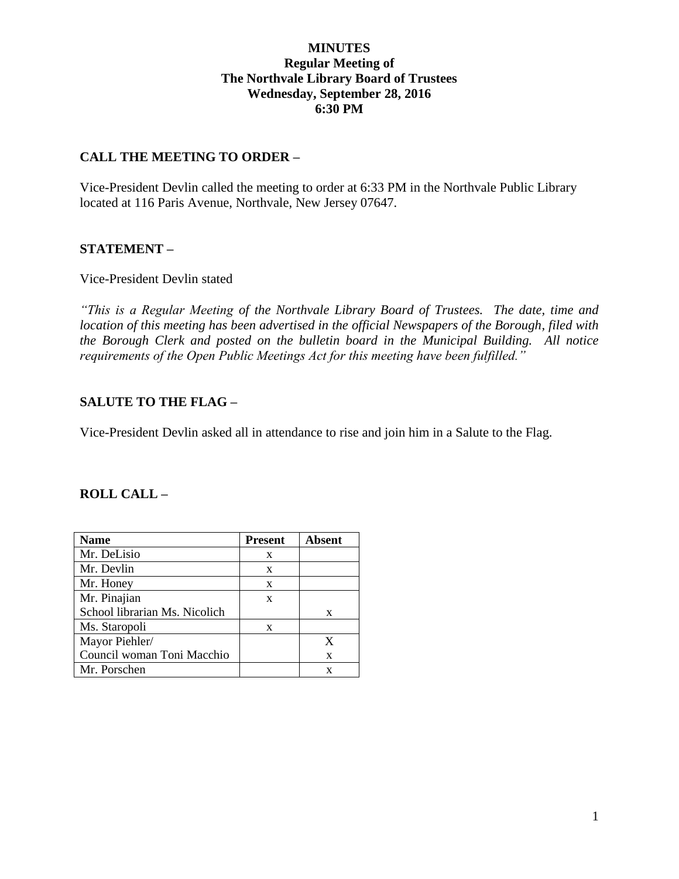### **MINUTES Regular Meeting of The Northvale Library Board of Trustees Wednesday, September 28, 2016 6:30 PM**

### **CALL THE MEETING TO ORDER –**

Vice-President Devlin called the meeting to order at 6:33 PM in the Northvale Public Library located at 116 Paris Avenue, Northvale, New Jersey 07647.

### **STATEMENT –**

Vice-President Devlin stated

*"This is a Regular Meeting of the Northvale Library Board of Trustees. The date, time and location of this meeting has been advertised in the official Newspapers of the Borough, filed with the Borough Clerk and posted on the bulletin board in the Municipal Building. All notice requirements of the Open Public Meetings Act for this meeting have been fulfilled."* 

### **SALUTE TO THE FLAG –**

Vice-President Devlin asked all in attendance to rise and join him in a Salute to the Flag.

#### **ROLL CALL –**

| <b>Name</b>                   | <b>Present</b> | Absent |
|-------------------------------|----------------|--------|
| Mr. DeLisio                   | X              |        |
| Mr. Devlin                    | X              |        |
| Mr. Honey                     | X              |        |
| Mr. Pinajian                  | X              |        |
| School librarian Ms. Nicolich |                | X      |
| Ms. Staropoli                 | X              |        |
| Mayor Piehler/                |                | X      |
| Council woman Toni Macchio    |                | X      |
| Mr. Porschen                  |                | X      |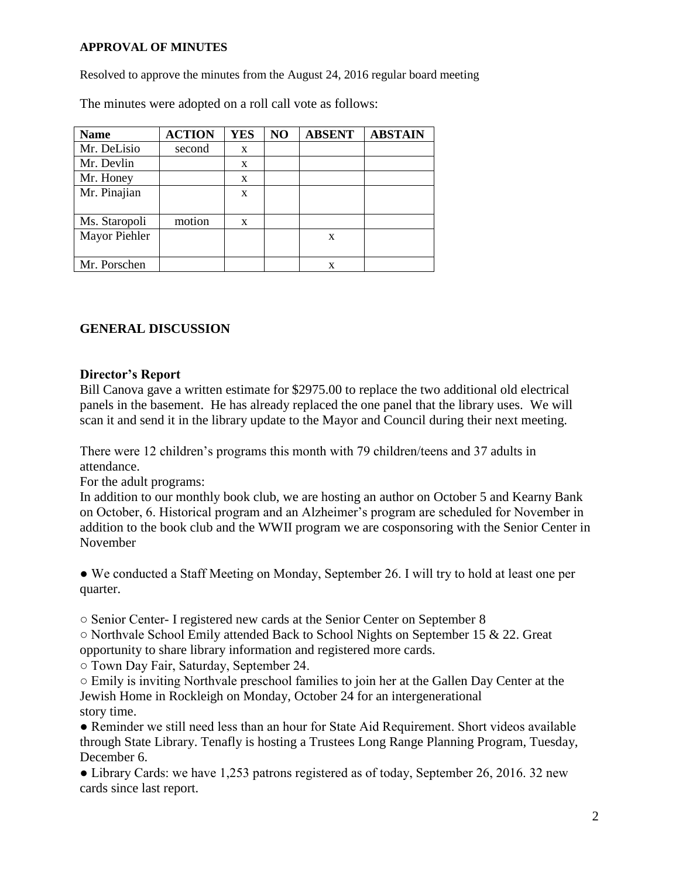#### **APPROVAL OF MINUTES**

Resolved to approve the minutes from the August 24, 2016 regular board meeting

The minutes were adopted on a roll call vote as follows:

| <b>Name</b>   | <b>ACTION</b> | <b>YES</b> | NO | <b>ABSENT</b> | <b>ABSTAIN</b> |
|---------------|---------------|------------|----|---------------|----------------|
| Mr. DeLisio   | second        | X          |    |               |                |
| Mr. Devlin    |               | X          |    |               |                |
| Mr. Honey     |               | X          |    |               |                |
| Mr. Pinajian  |               | X          |    |               |                |
|               |               |            |    |               |                |
| Ms. Staropoli | motion        | X          |    |               |                |
| Mayor Piehler |               |            |    | X             |                |
|               |               |            |    |               |                |
| Mr. Porschen  |               |            |    | x             |                |

### **GENERAL DISCUSSION**

#### **Director's Report**

Bill Canova gave a written estimate for \$2975.00 to replace the two additional old electrical panels in the basement. He has already replaced the one panel that the library uses. We will scan it and send it in the library update to the Mayor and Council during their next meeting.

There were 12 children's programs this month with 79 children/teens and 37 adults in attendance.

For the adult programs:

In addition to our monthly book club, we are hosting an author on October 5 and Kearny Bank on October, 6. Historical program and an Alzheimer's program are scheduled for November in addition to the book club and the WWII program we are cosponsoring with the Senior Center in November

● We conducted a Staff Meeting on Monday, September 26. I will try to hold at least one per quarter.

○ Senior Center- I registered new cards at the Senior Center on September 8

○ Northvale School Emily attended Back to School Nights on September 15 & 22. Great opportunity to share library information and registered more cards.

○ Town Day Fair, Saturday, September 24.

○ Emily is inviting Northvale preschool families to join her at the Gallen Day Center at the Jewish Home in Rockleigh on Monday, October 24 for an intergenerational story time.

● Reminder we still need less than an hour for State Aid Requirement. Short videos available through State Library. Tenafly is hosting a Trustees Long Range Planning Program, Tuesday, December 6.

• Library Cards: we have 1,253 patrons registered as of today, September 26, 2016. 32 new cards since last report.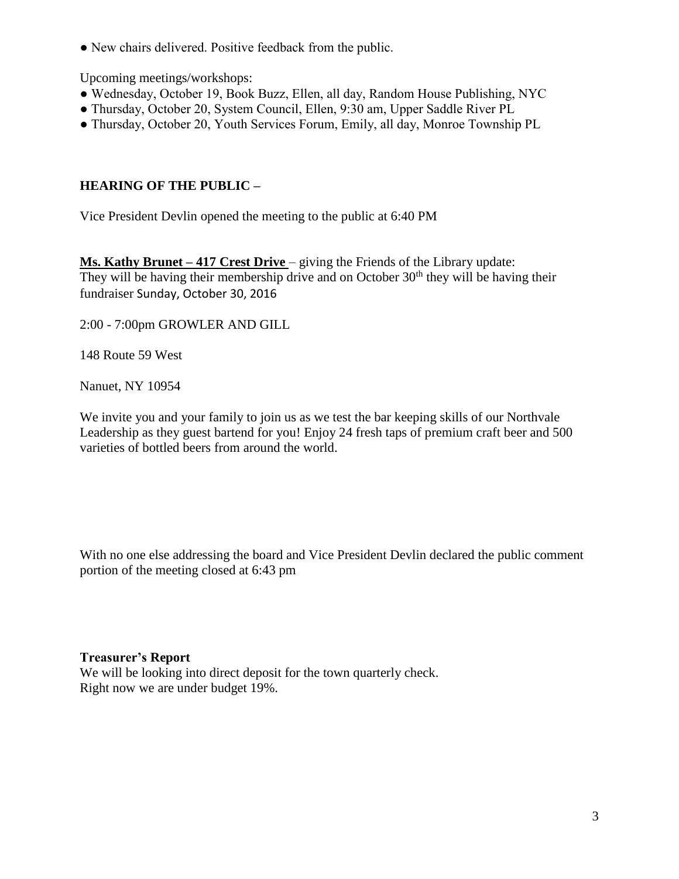• New chairs delivered. Positive feedback from the public.

Upcoming meetings/workshops:

- Wednesday, October 19, Book Buzz, Ellen, all day, Random House Publishing, NYC
- Thursday, October 20, System Council, Ellen, 9:30 am, Upper Saddle River PL
- Thursday, October 20, Youth Services Forum, Emily, all day, Monroe Township PL

# **HEARING OF THE PUBLIC –**

Vice President Devlin opened the meeting to the public at 6:40 PM

**Ms. Kathy Brunet – 417 Crest Drive** – giving the Friends of the Library update: They will be having their membership drive and on October  $30<sup>th</sup>$  they will be having their fundraiser Sunday, October 30, 2016

2:00 - 7:00pm GROWLER AND GILL

148 Route 59 West

Nanuet, NY 10954

We invite you and your family to join us as we test the bar keeping skills of our Northvale Leadership as they guest bartend for you! Enjoy 24 fresh taps of premium craft beer and 500 varieties of bottled beers from around the world.

With no one else addressing the board and Vice President Devlin declared the public comment portion of the meeting closed at 6:43 pm

## **Treasurer's Report**

We will be looking into direct deposit for the town quarterly check. Right now we are under budget 19%.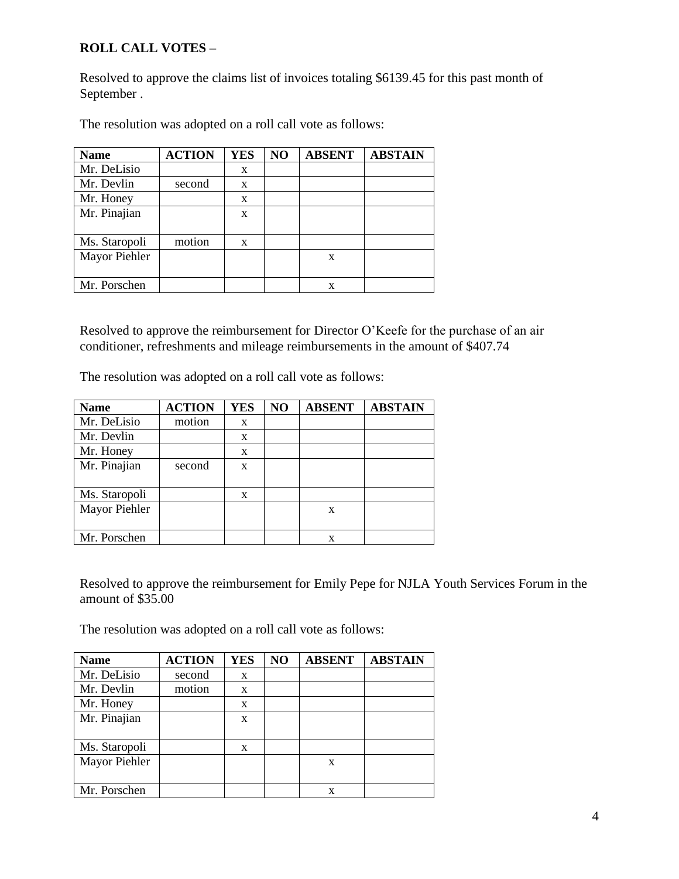# **ROLL CALL VOTES –**

Resolved to approve the claims list of invoices totaling \$6139.45 for this past month of September .

| <b>Name</b>   | <b>ACTION</b> | <b>YES</b> | NO | <b>ABSENT</b> | <b>ABSTAIN</b> |
|---------------|---------------|------------|----|---------------|----------------|
| Mr. DeLisio   |               | X          |    |               |                |
| Mr. Devlin    | second        | X          |    |               |                |
| Mr. Honey     |               | X          |    |               |                |
| Mr. Pinajian  |               | X          |    |               |                |
|               |               |            |    |               |                |
| Ms. Staropoli | motion        | X          |    |               |                |
| Mayor Piehler |               |            |    | X             |                |
|               |               |            |    |               |                |
| Mr. Porschen  |               |            |    | X             |                |

The resolution was adopted on a roll call vote as follows:

Resolved to approve the reimbursement for Director O'Keefe for the purchase of an air conditioner, refreshments and mileage reimbursements in the amount of \$407.74

The resolution was adopted on a roll call vote as follows:

| <b>Name</b>   | <b>ACTION</b> | <b>YES</b> | N <sub>O</sub> | <b>ABSENT</b> | <b>ABSTAIN</b> |
|---------------|---------------|------------|----------------|---------------|----------------|
| Mr. DeLisio   | motion        | X          |                |               |                |
| Mr. Devlin    |               | X          |                |               |                |
| Mr. Honey     |               | X          |                |               |                |
| Mr. Pinajian  | second        | X          |                |               |                |
|               |               |            |                |               |                |
| Ms. Staropoli |               | X          |                |               |                |
| Mayor Piehler |               |            |                | X             |                |
|               |               |            |                |               |                |
| Mr. Porschen  |               |            |                | X             |                |

Resolved to approve the reimbursement for Emily Pepe for NJLA Youth Services Forum in the amount of \$35.00

The resolution was adopted on a roll call vote as follows:

| <b>Name</b>   | <b>ACTION</b> | <b>YES</b> | NO | <b>ABSENT</b> | <b>ABSTAIN</b> |
|---------------|---------------|------------|----|---------------|----------------|
| Mr. DeLisio   | second        | X          |    |               |                |
| Mr. Devlin    | motion        | X          |    |               |                |
| Mr. Honey     |               | X          |    |               |                |
| Mr. Pinajian  |               | X          |    |               |                |
|               |               |            |    |               |                |
| Ms. Staropoli |               | X          |    |               |                |
| Mayor Piehler |               |            |    | X             |                |
|               |               |            |    |               |                |
| Mr. Porschen  |               |            |    | X             |                |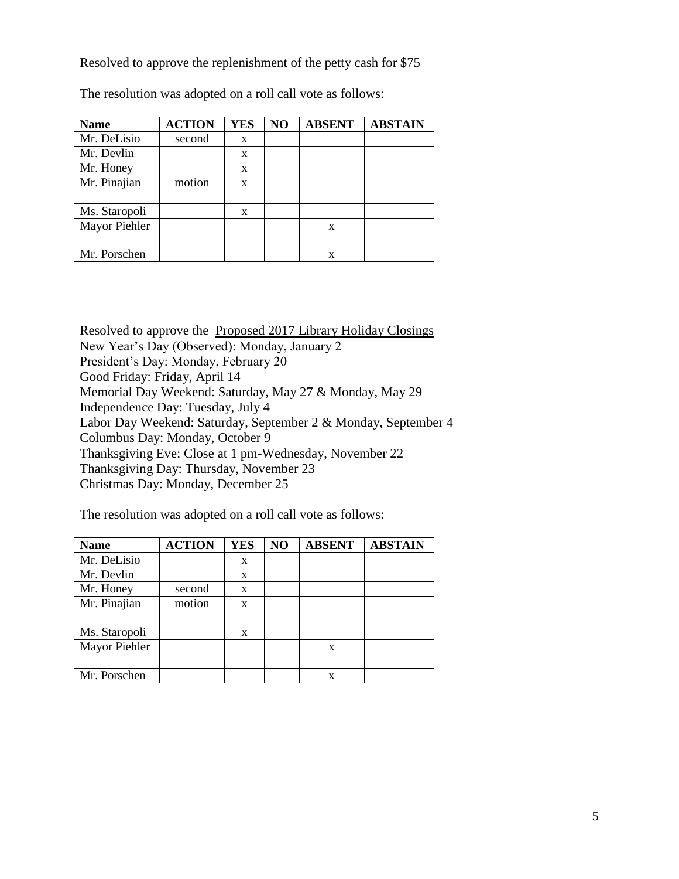Resolved to approve the replenishment of the petty cash for \$75

| <b>Name</b>   | <b>ACTION</b> | <b>YES</b> | N <sub>O</sub> | <b>ABSENT</b> | <b>ABSTAIN</b> |
|---------------|---------------|------------|----------------|---------------|----------------|
| Mr. DeLisio   | second        | X          |                |               |                |
| Mr. Devlin    |               | X          |                |               |                |
| Mr. Honey     |               | X          |                |               |                |
| Mr. Pinajian  | motion        | X          |                |               |                |
| Ms. Staropoli |               | X          |                |               |                |
| Mayor Piehler |               |            |                | X             |                |
| Mr. Porschen  |               |            |                | x             |                |

The resolution was adopted on a roll call vote as follows:

Resolved to approve the Proposed 2017 Library Holiday Closings New Year's Day (Observed): Monday, January 2 President's Day: Monday, February 20 Good Friday: Friday, April 14 Memorial Day Weekend: Saturday, May 27 & Monday, May 29 Independence Day: Tuesday, July 4 Labor Day Weekend: Saturday, September 2 & Monday, September 4 Columbus Day: Monday, October 9 Thanksgiving Eve: Close at 1 pm-Wednesday, November 22 Thanksgiving Day: Thursday, November 23 Christmas Day: Monday, December 25

The resolution was adopted on a roll call vote as follows:

| <b>Name</b>   | <b>ACTION</b> | <b>YES</b> | NO | <b>ABSENT</b> | <b>ABSTAIN</b> |
|---------------|---------------|------------|----|---------------|----------------|
| Mr. DeLisio   |               | X          |    |               |                |
| Mr. Devlin    |               | X          |    |               |                |
| Mr. Honey     | second        | X          |    |               |                |
| Mr. Pinajian  | motion        | X          |    |               |                |
|               |               |            |    |               |                |
| Ms. Staropoli |               | X          |    |               |                |
| Mayor Piehler |               |            |    | X             |                |
|               |               |            |    |               |                |
| Mr. Porschen  |               |            |    | X             |                |